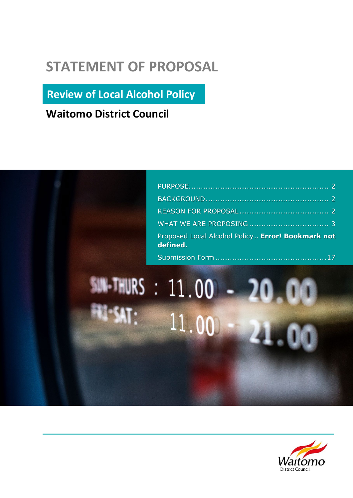# **STATEMENT OF PROPOSAL**

**Review of Local Alcohol Policy**

**Waitomo District Council**

| Proposed Local Alcohol Policy Error! Bookmark not<br>defined. |  |
|---------------------------------------------------------------|--|
|                                                               |  |

# SUN-THURS : 11.00 - 20.00  $11.00 -$ 21.00

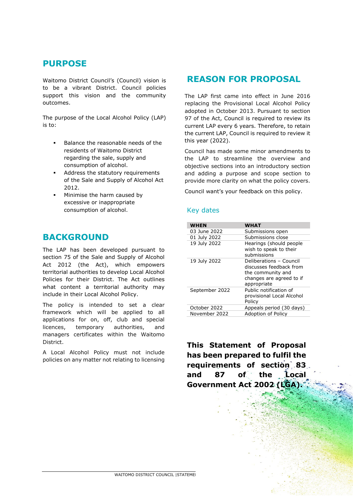# <span id="page-1-0"></span>**PURPOSE**

Waitomo District Council's (Council) vision is to be a vibrant District. Council policies support this vision and the community outcomes.

The purpose of the Local Alcohol Policy (LAP) is to:

- Balance the reasonable needs of the residents of Waitomo District regarding the sale, supply and consumption of alcohol.
- Address the statutory requirements of the Sale and Supply of Alcohol Act 2012.
- **Minimise the harm caused by** excessive or inappropriate consumption of alcohol.

### <span id="page-1-1"></span>**BACKGROUND**

The LAP has been developed pursuant to section 75 of the Sale and Supply of Alcohol Act 2012 (the Act), which empowers territorial authorities to develop Local Alcohol Policies for their District. The Act outlines what content a territorial authority may include in their Local Alcohol Policy.

The policy is intended to set a clear framework which will be applied to all applications for on, off, club and special licences, temporary authorities, and managers certificates within the Waitomo District.

A Local Alcohol Policy must not include policies on any matter not relating to licensing

# <span id="page-1-2"></span>**REASON FOR PROPOSAL**

The LAP first came into effect in June 2016 replacing the Provisional Local Alcohol Policy adopted in October 2013. Pursuant to section 97 of the Act, Council is required to review its current LAP every 6 years. Therefore, to retain the current LAP, Council is required to review it this year (2022).

Council has made some minor amendments to the LAP to streamline the overview and objective sections into an introductory section and adding a purpose and scope section to provide more clarity on what the policy covers.

Council want's your feedback on this policy.

#### Key dates

| <b>WHEN</b>    | WHAT                                                                                                               |
|----------------|--------------------------------------------------------------------------------------------------------------------|
| 03 June 2022   | Submissions open                                                                                                   |
| 01 July 2022   | Submissions close                                                                                                  |
| 19 July 2022   | Hearings (should people<br>wish to speak to their<br>submissions                                                   |
| 19 July 2022   | Deliberations - Council<br>discusses feedback from<br>the community and<br>changes are agreed to if<br>appropriate |
| September 2022 | Public notification of<br>provisional Local Alcohol<br>Policy                                                      |
| October 2022   | Appeals period (30 days)                                                                                           |
| November 2022  | Adoption of Policy                                                                                                 |

**This Statement of Proposal has been prepared to fulfil the requirements of section 83 and 87 of the Local Government Act 2002 (LGA).**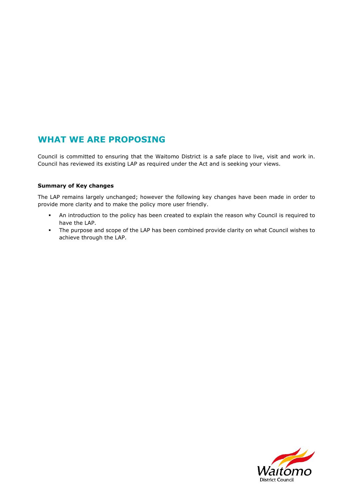# <span id="page-2-0"></span>**WHAT WE ARE PROPOSING**

Council is committed to ensuring that the Waitomo District is a safe place to live, visit and work in. Council has reviewed its existing LAP as required under the Act and is seeking your views.

#### **Summary of Key changes**

The LAP remains largely unchanged; however the following key changes have been made in order to provide more clarity and to make the policy more user friendly.

- An introduction to the policy has been created to explain the reason why Council is required to have the LAP.
- The purpose and scope of the LAP has been combined provide clarity on what Council wishes to achieve through the LAP.

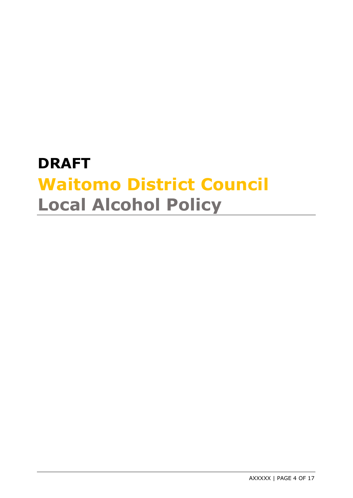# **DRAFT Waitomo District Council Local Alcohol Policy**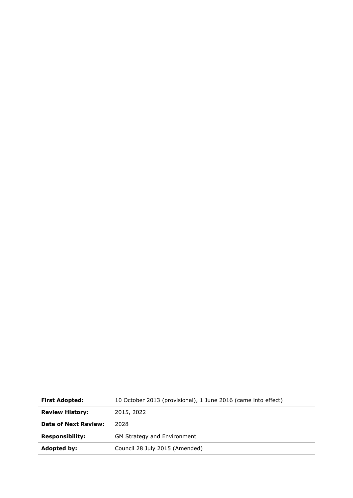| <b>First Adopted:</b>       | 10 October 2013 (provisional), 1 June 2016 (came into effect) |  |  |
|-----------------------------|---------------------------------------------------------------|--|--|
| <b>Review History:</b>      | 2015, 2022                                                    |  |  |
| <b>Date of Next Review:</b> | 2028                                                          |  |  |
| <b>Responsibility:</b>      | GM Strategy and Environment                                   |  |  |
| Adopted by:                 | Council 28 July 2015 (Amended)                                |  |  |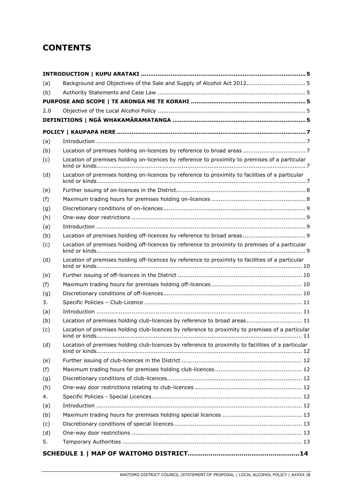# **CONTENTS**

| (a) | Background and Objectives of the Sale and Supply of Alcohol Act 2012 5                             |      |
|-----|----------------------------------------------------------------------------------------------------|------|
| (b) |                                                                                                    |      |
|     |                                                                                                    |      |
| 2.0 |                                                                                                    |      |
|     |                                                                                                    |      |
|     |                                                                                                    |      |
| (a) |                                                                                                    |      |
| (b) |                                                                                                    |      |
| (c) | Location of premises holding on-licences by reference to proximity to premises of a particular     |      |
| (d) | Location of premises holding on-licences by reference to proximity to facilities of a particular   |      |
| (e) |                                                                                                    |      |
| (f) |                                                                                                    |      |
| (g) |                                                                                                    |      |
| (h) |                                                                                                    |      |
| (a) |                                                                                                    |      |
| (b) |                                                                                                    |      |
| (c) | Location of premises holding off-licences by reference to proximity to premises of a particular    |      |
| (d) | Location of premises holding off-licences by reference to proximity to facilities of a particular  |      |
| (e) |                                                                                                    |      |
| (f) |                                                                                                    |      |
| (g) |                                                                                                    |      |
| 3.  |                                                                                                    |      |
| (a) |                                                                                                    |      |
| (b) | Location of premises holding club-licences by reference to broad areas 11                          |      |
| (c) | Location of premises holding club-licences by reference to proximity to premises of a particular   | . 11 |
| (d) | Location of premises holding club-licences by reference to proximity to facilities of a particular |      |
| (e) |                                                                                                    |      |
| (f) |                                                                                                    |      |
| (g) |                                                                                                    |      |
| (h) |                                                                                                    |      |
| 4.  |                                                                                                    |      |
| (a) |                                                                                                    |      |
| (b) |                                                                                                    |      |
| (c) |                                                                                                    |      |
| (d) |                                                                                                    |      |
| 5.  |                                                                                                    |      |
|     |                                                                                                    |      |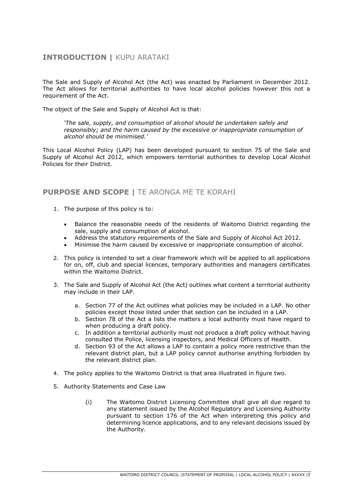#### **INTRODUCTION |** KUPU ARATAKI

The Sale and Supply of Alcohol Act (the Act) was enacted by Parliament in December 2012. The Act allows for territorial authorities to have local alcohol policies however this not a requirement of the Act.

The object of the Sale and Supply of Alcohol Act is that:

*'The sale, supply, and consumption of alcohol should be undertaken safely and responsibly; and the harm caused by the excessive or inappropriate consumption of alcohol should be minimised.'*

This Local Alcohol Policy (LAP) has been developed pursuant to section 75 of the Sale and Supply of Alcohol Act 2012, which empowers territorial authorities to develop Local Alcohol Policies for their District.

#### **PURPOSE AND SCOPE |** TE ARONGA ME TE KORAHI

- 1. The purpose of this policy is to:
	- Balance the reasonable needs of the residents of Waitomo District regarding the sale, supply and consumption of alcohol.
	- Address the statutory requirements of the Sale and Supply of Alcohol Act 2012.
	- Minimise the harm caused by excessive or inappropriate consumption of alcohol.
- 2. This policy is intended to set a clear framework which will be applied to all applications for on, off, club and special licences, temporary authorities and managers certificates within the Waitomo District.
- 3. The Sale and Supply of Alcohol Act (the Act) outlines what content a territorial authority may include in their LAP.
	- a. Section 77 of the Act outlines what policies may be included in a LAP. No other policies except those listed under that section can be included in a LAP.
	- b. Section 78 of the Act a lists the matters a local authority must have regard to when producing a draft policy.
	- c. In addition a territorial authority must not produce a draft policy without having consulted the Police, licensing inspectors, and Medical Officers of Health.
	- d. Section 93 of the Act allows a LAP to contain a policy more restrictive than the relevant district plan, but a LAP policy cannot authorise anything forbidden by the relevant district plan.
- 4. The policy applies to the Waitomo District is that area illustrated in figure two.
- 5. Authority Statements and Case Law
	- (i) The Waitomo District Licensing Committee shall give all due regard to any statement issued by the Alcohol Regulatory and Licensing Authority pursuant to section 176 of the Act when interpreting this policy and determining licence applications, and to any relevant decisions issued by the Authority.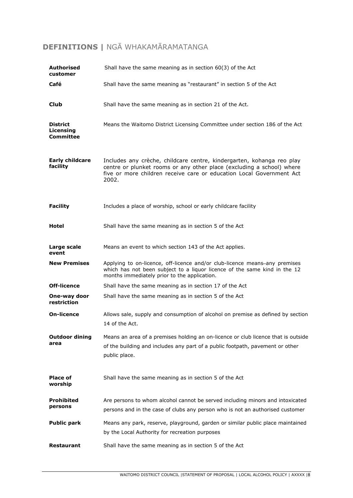# **DEFINITIONS |** NGĀ WHAKAMĀRAMATANGA

| <b>Authorised</b><br>customer                    | Shall have the same meaning as in section $60(3)$ of the Act                                                                                                                                                                    |
|--------------------------------------------------|---------------------------------------------------------------------------------------------------------------------------------------------------------------------------------------------------------------------------------|
| Café                                             | Shall have the same meaning as "restaurant" in section 5 of the Act                                                                                                                                                             |
| <b>Club</b>                                      | Shall have the same meaning as in section 21 of the Act.                                                                                                                                                                        |
| <b>District</b><br>Licensing<br><b>Committee</b> | Means the Waitomo District Licensing Committee under section 186 of the Act                                                                                                                                                     |
| <b>Early childcare</b><br>facility               | Includes any crèche, childcare centre, kindergarten, kohanga reo play<br>centre or plunket rooms or any other place (excluding a school) where<br>five or more children receive care or education Local Government Act<br>2002. |
| <b>Facility</b>                                  | Includes a place of worship, school or early childcare facility                                                                                                                                                                 |
| Hotel                                            | Shall have the same meaning as in section 5 of the Act                                                                                                                                                                          |
| Large scale<br>event                             | Means an event to which section 143 of the Act applies.                                                                                                                                                                         |
| <b>New Premises</b>                              | Applying to on-licence, off-licence and/or club-licence means-any premises<br>which has not been subject to a liquor licence of the same kind in the 12<br>months immediately prior to the application.                         |
| Off-licence                                      | Shall have the same meaning as in section 17 of the Act                                                                                                                                                                         |
| One-way door<br>restriction                      | Shall have the same meaning as in section 5 of the Act                                                                                                                                                                          |
| <b>On-licence</b>                                | Allows sale, supply and consumption of alcohol on premise as defined by section<br>14 of the Act.                                                                                                                               |
| <b>Outdoor dining</b><br>area                    | Means an area of a premises holding an on-licence or club licence that is outside<br>of the building and includes any part of a public footpath, pavement or other<br>public place.                                             |
| <b>Place of</b><br>worship                       | Shall have the same meaning as in section 5 of the Act                                                                                                                                                                          |
| <b>Prohibited</b><br>persons                     | Are persons to whom alcohol cannot be served including minors and intoxicated<br>persons and in the case of clubs any person who is not an authorised customer                                                                  |
| <b>Public park</b>                               | Means any park, reserve, playground, garden or similar public place maintained<br>by the Local Authority for recreation purposes                                                                                                |
| <b>Restaurant</b>                                | Shall have the same meaning as in section 5 of the Act                                                                                                                                                                          |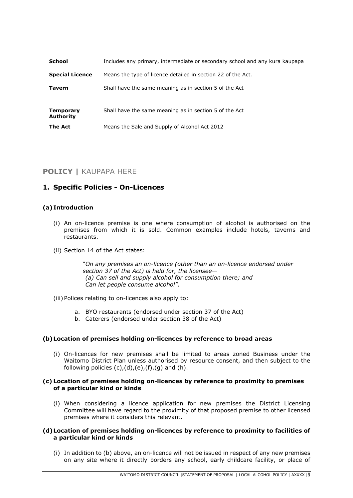| School                               | Includes any primary, intermediate or secondary school and any kura kaupapa |  |  |
|--------------------------------------|-----------------------------------------------------------------------------|--|--|
| <b>Special Licence</b>               | Means the type of licence detailed in section 22 of the Act.                |  |  |
| <b>Tavern</b>                        | Shall have the same meaning as in section 5 of the Act                      |  |  |
|                                      |                                                                             |  |  |
| <b>Temporary</b><br><b>Authority</b> | Shall have the same meaning as in section 5 of the Act                      |  |  |
| The Act                              | Means the Sale and Supply of Alcohol Act 2012                               |  |  |

#### **POLICY |** KAUPAPA HERE

#### **1. Specific Policies - On-Licences**

#### **(a) Introduction**

- (i) An on-licence premise is one where consumption of alcohol is authorised on the premises from which it is sold. Common examples include hotels, taverns and restaurants.
- (ii) Section 14 of the Act states:

"*On any premises an on-licence (other than an on-licence endorsed under section 37 of the Act) is held for, the licensee— (a) Can sell and supply alcohol for consumption there; and Can let people consume alcohol"*.

- (iii) Polices relating to on-licences also apply to:
	- a. BYO restaurants (endorsed under section 37 of the Act)
	- b. Caterers (endorsed under section 38 of the Act)

#### **(b)Location of premises holding on-licences by reference to broad areas**

(i) On-licences for new premises shall be limited to areas zoned Business under the Waitomo District Plan unless authorised by resource consent, and then subject to the following policies  $(c)$ , $(d)$ , $(e)$ , $(f)$ , $(g)$  and  $(h)$ .

#### **(c) Location of premises holding on-licences by reference to proximity to premises of a particular kind or kinds**

(i) When considering a licence application for new premises the District Licensing Committee will have regard to the proximity of that proposed premise to other licensed premises where it considers this relevant.

#### **(d)Location of premises holding on-licences by reference to proximity to facilities of a particular kind or kinds**

(i) In addition to (b) above, an on-licence will not be issued in respect of any new premises on any site where it directly borders any school, early childcare facility, or place of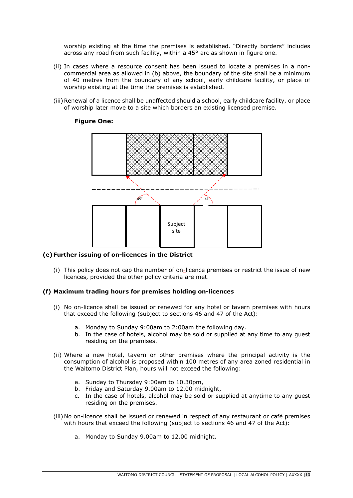worship existing at the time the premises is established. "Directly borders" includes across any road from such facility, within a 45° arc as shown in figure one.

- (ii) In cases where a resource consent has been issued to locate a premises in a noncommercial area as allowed in (b) above, the boundary of the site shall be a minimum of 40 metres from the boundary of any school, early childcare facility, or place of worship existing at the time the premises is established.
- (iii)Renewal of a licence shall be unaffected should a school, early childcare facility, or place of worship later move to a site which borders an existing licensed premise.

#### **Figure One:**



#### **(e)Further issuing of on-licences in the District**

(i) This policy does not cap the number of on-licence premises or restrict the issue of new licences, provided the other policy criteria are met.

#### **(f) Maximum trading hours for premises holding on-licences**

- (i) No on-licence shall be issued or renewed for any hotel or tavern premises with hours that exceed the following (subject to sections 46 and 47 of the Act):
	- a. Monday to Sunday 9:00am to 2:00am the following day.
	- b. In the case of hotels, alcohol may be sold or supplied at any time to any guest residing on the premises.
- (ii) Where a new hotel, tavern or other premises where the principal activity is the consumption of alcohol is proposed within 100 metres of any area zoned residential in the Waitomo District Plan, hours will not exceed the following:
	- a. Sunday to Thursday 9:00am to 10.30pm,
	- b. Friday and Saturday 9.00am to 12.00 midnight,
	- c. In the case of hotels, alcohol may be sold or supplied at anytime to any guest residing on the premises.
- (iii) No on-licence shall be issued or renewed in respect of any restaurant or café premises with hours that exceed the following (subject to sections 46 and 47 of the Act):
	- a. Monday to Sunday 9.00am to 12.00 midnight.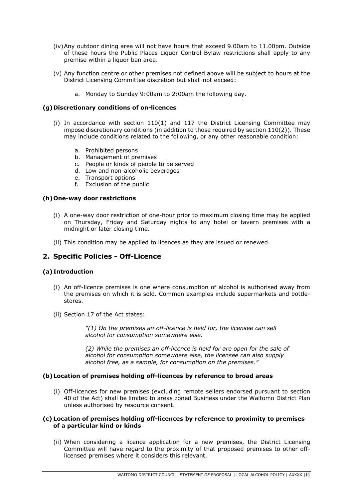- (iv)Any outdoor dining area will not have hours that exceed 9.00am to 11.00pm. Outside of these hours the Public Places Liquor Control Bylaw restrictions shall apply to any premise within a liquor ban area.
- (v) Any function centre or other premises not defined above will be subject to hours at the District Licensing Committee discretion but shall not exceed:
	- a. Monday to Sunday 9:00am to 2:00am the following day.

#### **(g)Discretionary conditions of on-licences**

- (i) In accordance with section 110(1) and 117 the District Licensing Committee may impose discretionary conditions (in addition to those required by section 110(2)). These may include conditions related to the following, or any other reasonable condition:
	- a. Prohibited persons
	- b. Management of premises
	- c. People or kinds of people to be served
	- d. Low and non-alcoholic beverages
	- e. Transport options
	- f. Exclusion of the public

#### **(h)One-way door restrictions**

- (i) A one-way door restriction of one-hour prior to maximum closing time may be applied on Thursday, Friday and Saturday nights to any hotel or tavern premises with a midnight or later closing time.
- (ii) This condition may be applied to licences as they are issued or renewed.

#### **2. Specific Policies - Off-Licence**

#### **(a) Introduction**

- (i) An off-licence premises is one where consumption of alcohol is authorised away from the premises on which it is sold. Common examples include supermarkets and bottlestores.
- (ii) Section 17 of the Act states:

*"(1) On the premises an off-licence is held for, the licensee can sell alcohol for consumption somewhere else.*

*(2) While the premises an off-licence is held for are open for the sale of alcohol for consumption somewhere else, the licensee can also supply alcohol free, as a sample, for consumption on the premises."*

#### **(b)Location of premises holding off-licences by reference to broad areas**

(i) Off-licences for new premises (excluding remote sellers endorsed pursuant to section 40 of the Act) shall be limited to areas zoned Business under the Waitomo District Plan unless authorised by resource consent.

#### **(c) Location of premises holding off-licences by reference to proximity to premises of a particular kind or kinds**

(ii) When considering a licence application for a new premises, the District Licensing Committee will have regard to the proximity of that proposed premises to other offlicensed premises where it considers this relevant.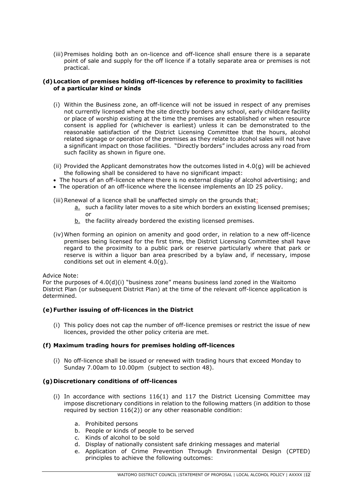(iii) Premises holding both an on-licence and off-licence shall ensure there is a separate point of sale and supply for the off licence if a totally separate area or premises is not practical.

#### **(d)Location of premises holding off-licences by reference to proximity to facilities of a particular kind or kinds**

- (i) Within the Business zone, an off-licence will not be issued in respect of any premises not currently licensed where the site directly borders any school, early childcare facility or place of worship existing at the time the premises are established or when resource consent is applied for (whichever is earliest) unless it can be demonstrated to the reasonable satisfaction of the District Licensing Committee that the hours, alcohol related signage or operation of the premises as they relate to alcohol sales will not have a significant impact on those facilities. "Directly borders" includes across any road from such facility as shown in figure one.
- (ii) Provided the Applicant demonstrates how the outcomes listed in 4.0(g) will be achieved the following shall be considered to have no significant impact:
- The hours of an off-licence where there is no external display of alcohol advertising; and
- The operation of an off-licence where the licensee implements an ID 25 policy.
- (iii) Renewal of a licence shall be unaffected simply on the grounds that:
	- a. such a facility later moves to a site which borders an existing licensed premises; or
	- b. the facility already bordered the existing licensed premises.
- (iv)When forming an opinion on amenity and good order, in relation to a new off-licence premises being licensed for the first time, the District Licensing Committee shall have regard to the proximity to a public park or reserve particularly where that park or reserve is within a liquor ban area prescribed by a bylaw and, if necessary, impose conditions set out in element 4.0(g).

#### Advice Note:

For the purposes of 4.0(d)(i) "business zone" means business land zoned in the Waitomo District Plan (or subsequent District Plan) at the time of the relevant off-licence application is determined.

#### **(e)Further issuing of off-licences in the District**

(i) This policy does not cap the number of off-licence premises or restrict the issue of new licences, provided the other policy criteria are met.

#### **(f) Maximum trading hours for premises holding off-licences**

(i) No off-licence shall be issued or renewed with trading hours that exceed Monday to Sunday 7.00am to 10.00pm (subject to section 48).

#### **(g)Discretionary conditions of off-licences**

- (i) In accordance with sections 116(1) and 117 the District Licensing Committee may impose discretionary conditions in relation to the following matters (in addition to those required by section 116(2)) or any other reasonable condition:
	- a. Prohibited persons
	- b. People or kinds of people to be served
	- c. Kinds of alcohol to be sold
	- d. Display of nationally consistent safe drinking messages and material
	- e. Application of Crime Prevention Through Environmental Design (CPTED) principles to achieve the following outcomes: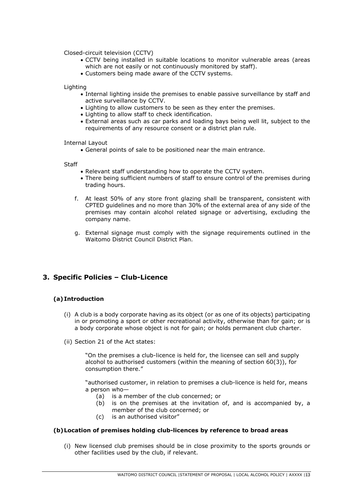Closed-circuit television (CCTV)

- CCTV being installed in suitable locations to monitor vulnerable areas (areas which are not easily or not continuously monitored by staff).
- Customers being made aware of the CCTV systems.

Lighting

- Internal lighting inside the premises to enable passive surveillance by staff and active surveillance by CCTV.
- Lighting to allow customers to be seen as they enter the premises.
- Lighting to allow staff to check identification.
- External areas such as car parks and loading bays being well lit, subject to the requirements of any resource consent or a district plan rule.

Internal Layout

• General points of sale to be positioned near the main entrance.

**Staff** 

- Relevant staff understanding how to operate the CCTV system.
- There being sufficient numbers of staff to ensure control of the premises during trading hours.
- f. At least 50% of any store front glazing shall be transparent, consistent with CPTED guidelines and no more than 30% of the external area of any side of the premises may contain alcohol related signage or advertising, excluding the company name.
- g. External signage must comply with the signage requirements outlined in the Waitomo District Council District Plan.

#### **3. Specific Policies – Club-Licence**

#### **(a) Introduction**

- (i) A club is a body corporate having as its object (or as one of its objects) participating in or promoting a sport or other recreational activity, otherwise than for gain; or is a body corporate whose object is not for gain; or holds permanent club charter.
- (ii) Section 21 of the Act states:

"On the premises a club-licence is held for, the licensee can sell and supply alcohol to authorised customers (within the meaning of section 60(3)), for consumption there."

"authorised customer, in relation to premises a club-licence is held for, means a person who—

- (a) is a member of the club concerned; or
- (b) is on the premises at the invitation of, and is accompanied by, a member of the club concerned; or
- (c) is an authorised visitor"

#### **(b)Location of premises holding club-licences by reference to broad areas**

(i) New licensed club premises should be in close proximity to the sports grounds or other facilities used by the club, if relevant.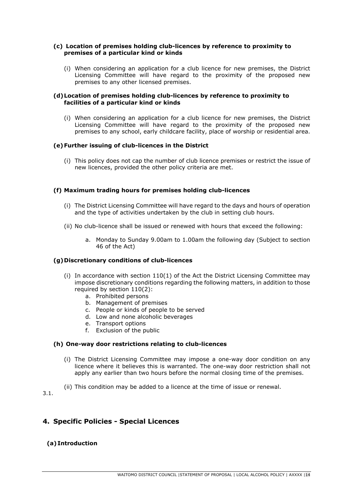#### **(c) Location of premises holding club-licences by reference to proximity to premises of a particular kind or kinds**

(i) When considering an application for a club licence for new premises, the District Licensing Committee will have regard to the proximity of the proposed new premises to any other licensed premises.

#### **(d)Location of premises holding club-licences by reference to proximity to facilities of a particular kind or kinds**

(i) When considering an application for a club licence for new premises, the District Licensing Committee will have regard to the proximity of the proposed new premises to any school, early childcare facility, place of worship or residential area.

#### **(e)Further issuing of club-licences in the District**

(i) This policy does not cap the number of club licence premises or restrict the issue of new licences, provided the other policy criteria are met.

#### **(f) Maximum trading hours for premises holding club-licences**

- (i) The District Licensing Committee will have regard to the days and hours of operation and the type of activities undertaken by the club in setting club hours.
- (ii) No club-licence shall be issued or renewed with hours that exceed the following:
	- a. Monday to Sunday 9.00am to 1.00am the following day (Subject to section 46 of the Act)

#### **(g)Discretionary conditions of club-licences**

- (i) In accordance with section  $110(1)$  of the Act the District Licensing Committee may impose discretionary conditions regarding the following matters, in addition to those required by section 110(2):
	- a. Prohibited persons
	- b. Management of premises
	- c. People or kinds of people to be served
	- d. Low and none alcoholic beverages
	- e. Transport options
	- f. Exclusion of the public

#### **(h) One-way door restrictions relating to club-licences**

- (i) The District Licensing Committee may impose a one-way door condition on any licence where it believes this is warranted. The one-way door restriction shall not apply any earlier than two hours before the normal closing time of the premises.
- (ii) This condition may be added to a licence at the time of issue or renewal.

3.1.

#### **4. Specific Policies - Special Licences**

#### **(a) Introduction**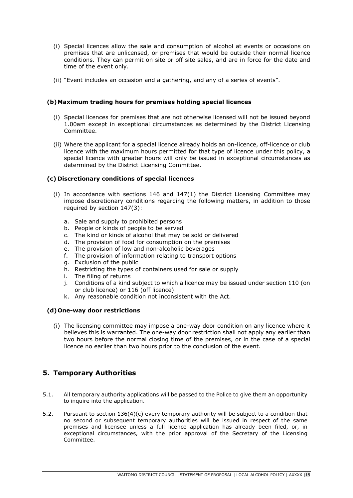- (i) Special licences allow the sale and consumption of alcohol at events or occasions on premises that are unlicensed, or premises that would be outside their normal licence conditions. They can permit on site or off site sales, and are in force for the date and time of the event only.
- (ii) "Event includes an occasion and a gathering, and any of a series of events".

#### **(b)Maximum trading hours for premises holding special licences**

- (i) Special licences for premises that are not otherwise licensed will not be issued beyond 1.00am except in exceptional circumstances as determined by the District Licensing Committee.
- (ii) Where the applicant for a special licence already holds an on-licence, off-licence or club licence with the maximum hours permitted for that type of licence under this policy, a special licence with greater hours will only be issued in exceptional circumstances as determined by the District Licensing Committee.

#### **(c) Discretionary conditions of special licences**

- (i) In accordance with sections 146 and 147(1) the District Licensing Committee may impose discretionary conditions regarding the following matters, in addition to those required by section 147(3):
	- a. Sale and supply to prohibited persons
	- b. People or kinds of people to be served
	- c. The kind or kinds of alcohol that may be sold or delivered
	- d. The provision of food for consumption on the premises
	- e. The provision of low and non-alcoholic beverages
	- f. The provision of information relating to transport options
	- g. Exclusion of the public
	- h. Restricting the types of containers used for sale or supply
	- i. The filing of returns
	- j. Conditions of a kind subject to which a licence may be issued under section 110 (on or club licence) or 116 (off licence)
	- k. Any reasonable condition not inconsistent with the Act.

#### **(d)One-way door restrictions**

(i) The licensing committee may impose a one-way door condition on any licence where it believes this is warranted. The one-way door restriction shall not apply any earlier than two hours before the normal closing time of the premises, or in the case of a special licence no earlier than two hours prior to the conclusion of the event.

#### **5. Temporary Authorities**

- 5.1. All temporary authority applications will be passed to the Police to give them an opportunity to inquire into the application.
- 5.2. Pursuant to section 136(4)(c) every temporary authority will be subject to a condition that no second or subsequent temporary authorities will be issued in respect of the same premises and licensee unless a full licence application has already been filed, or, in exceptional circumstances, with the prior approval of the Secretary of the Licensing Committee.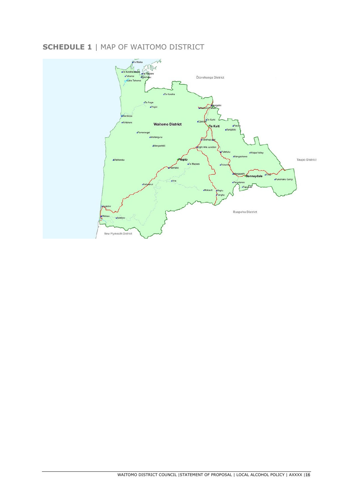# **SCHEDULE 1** | MAP OF WAITOMO DISTRICT